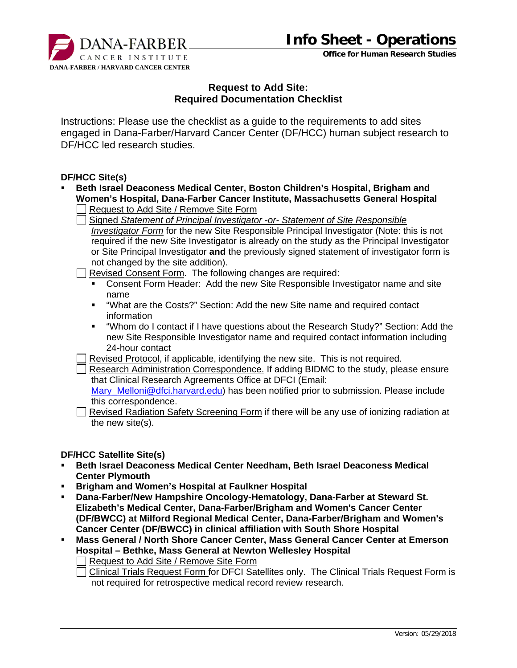

**Office for Human Research Studies**



## **Request to Add Site: Required Documentation Checklist**

Instructions: Please use the checklist as a guide to the requirements to add sites engaged in Dana-Farber/Harvard Cancer Center (DF/HCC) human subject research to DF/HCC led research studies.

## **DF/HCC Site(s)**

- **Beth Israel Deaconess Medical Center, Boston Children's Hospital, Brigham and Women's Hospital, Dana-Farber Cancer Institute, Massachusetts General Hospital** 
	- Request to Add Site / Remove Site Form
	- Signed *Statement of Principal Investigator -or- Statement of Site Responsible Investigator Form* for the new Site Responsible Principal Investigator (Note: this is not required if the new Site Investigator is already on the study as the Principal Investigator or Site Principal Investigator **and** the previously signed statement of investigator form is not changed by the site addition).
	- Revised Consent Form. The following changes are required:
		- Consent Form Header: Add the new Site Responsible Investigator name and site name
		- "What are the Costs?" Section: Add the new Site name and required contact information
		- "Whom do I contact if I have questions about the Research Study?" Section: Add the new Site Responsible Investigator name and required contact information including 24-hour contact
	- Revised Protocol, if applicable, identifying the new site. This is not required.
	- Research Administration Correspondence. If adding BIDMC to the study, please ensure that Clinical Research Agreements Office at DFCI (Email:

Mary\_Melloni@dfci.harvard.edu) has been notified prior to submission. Please include this correspondence.

 Revised Radiation Safety Screening Form if there will be any use of ionizing radiation at the new site(s).

## **DF/HCC Satellite Site(s)**

- **Beth Israel Deaconess Medical Center Needham, Beth Israel Deaconess Medical Center Plymouth**
- **Brigham and Women's Hospital at Faulkner Hospital**
- **Dana-Farber/New Hampshire Oncology-Hematology, Dana-Farber at Steward St. Elizabeth's Medical Center, Dana-Farber/Brigham and Women's Cancer Center (DF/BWCC) at Milford Regional Medical Center, Dana-Farber/Brigham and Women's Cancer Center (DF/BWCC) in clinical affiliation with South Shore Hospital**
- **Mass General / North Shore Cancer Center, Mass General Cancer Center at Emerson Hospital – Bethke, Mass General at Newton Wellesley Hospital**
	- Request to Add Site / Remove Site Form

□ Clinical Trials Request Form for DFCI Satellites only. The Clinical Trials Request Form is not required for retrospective medical record review research.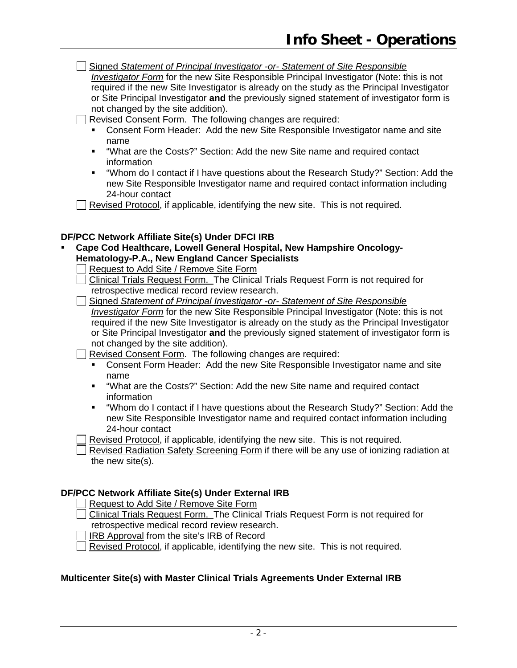Signed *Statement of Principal Investigator -or- Statement of Site Responsible Investigator Form* for the new Site Responsible Principal Investigator (Note: this is not required if the new Site Investigator is already on the study as the Principal Investigator or Site Principal Investigator **and** the previously signed statement of investigator form is not changed by the site addition).

Revised Consent Form. The following changes are required:

- Consent Form Header: Add the new Site Responsible Investigator name and site name
- "What are the Costs?" Section: Add the new Site name and required contact information
- "Whom do I contact if I have questions about the Research Study?" Section: Add the new Site Responsible Investigator name and required contact information including 24-hour contact

 $\Box$  Revised Protocol, if applicable, identifying the new site. This is not required.

## **DF/PCC Network Affiliate Site(s) Under DFCI IRB**

- **Cape Cod Healthcare, Lowell General Hospital, New Hampshire Oncology-Hematology-P.A., New England Cancer Specialists** 
	- Request to Add Site / Remove Site Form

 Clinical Trials Request Form. The Clinical Trials Request Form is not required for retrospective medical record review research.

 Signed *Statement of Principal Investigator -or- Statement of Site Responsible Investigator Form* for the new Site Responsible Principal Investigator (Note: this is not required if the new Site Investigator is already on the study as the Principal Investigator or Site Principal Investigator **and** the previously signed statement of investigator form is not changed by the site addition).

Revised Consent Form. The following changes are required:

- Consent Form Header: Add the new Site Responsible Investigator name and site name
- "What are the Costs?" Section: Add the new Site name and required contact information
- "Whom do I contact if I have questions about the Research Study?" Section: Add the new Site Responsible Investigator name and required contact information including 24-hour contact

Revised Protocol, if applicable, identifying the new site. This is not required.

 Revised Radiation Safety Screening Form if there will be any use of ionizing radiation at the new site(s).

## **DF/PCC Network Affiliate Site(s) Under External IRB**

Request to Add Site / Remove Site Form

- Clinical Trials Request Form. The Clinical Trials Request Form is not required for retrospective medical record review research.
- IRB Approval from the site's IRB of Record

Revised Protocol, if applicable, identifying the new site. This is not required.

## **Multicenter Site(s) with Master Clinical Trials Agreements Under External IRB**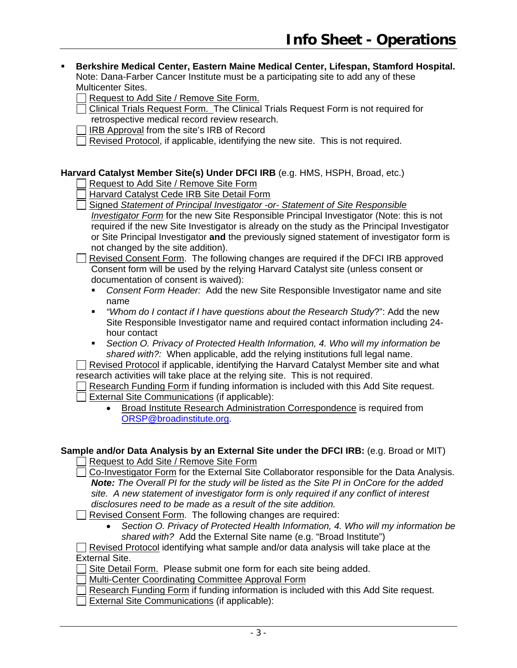#### **Berkshire Medical Center, Eastern Maine Medical Center, Lifespan, Stamford Hospital.**  Note: Dana-Farber Cancer Institute must be a participating site to add any of these Multicenter Sites.

Request to Add Site / Remove Site Form.

- $\Box$  Clinical Trials Request Form. The Clinical Trials Request Form is not required for retrospective medical record review research.
- IRB Approval from the site's IRB of Record
- Revised Protocol, if applicable, identifying the new site. This is not required.

## **Harvard Catalyst Member Site(s) Under DFCI IRB** (e.g. HMS, HSPH, Broad, etc.)

Request to Add Site / Remove Site Form

- Harvard Catalyst Cede IRB Site Detail Form
- Signed *Statement of Principal Investigator -or- Statement of Site Responsible*

*Investigator Form* for the new Site Responsible Principal Investigator (Note: this is not required if the new Site Investigator is already on the study as the Principal Investigator or Site Principal Investigator **and** the previously signed statement of investigator form is not changed by the site addition).

 Revised Consent Form. The following changes are required if the DFCI IRB approved Consent form will be used by the relying Harvard Catalyst site (unless consent or documentation of consent is waived):

- *Consent Form Header:* Add the new Site Responsible Investigator name and site name
- *"Whom do I contact if I have questions about the Research Study*?": Add the new Site Responsible Investigator name and required contact information including 24 hour contact
- *Section O. Privacy of Protected Health Information, 4. Who will my information be shared with?:* When applicable, add the relying institutions full legal name.

 $\Box$  Revised Protocol if applicable, identifying the Harvard Catalyst Member site and what research activities will take place at the relying site. This is not required.

Research Funding Form if funding information is included with this Add Site request.  $\Box$  External Site Communications (if applicable):

• Broad Institute Research Administration Correspondence is required from ORSP@broadinstitute.org.

# **Sample and/or Data Analysis by an External Site under the DFCI IRB:** (e.g. Broad or MIT)

Request to Add Site / Remove Site Form

 Co-Investigator Form for the External Site Collaborator responsible for the Data Analysis. *Note: The Overall PI for the study will be listed as the Site PI in OnCore for the added site. A new statement of investigator form is only required if any conflict of interest disclosures need to be made as a result of the site addition.*

Revised Consent Form. The following changes are required:

 *Section O. Privacy of Protected Health Information, 4. Who will my information be shared with?* Add the External Site name (e.g. "Broad Institute")

 $\Box$  Revised Protocol identifying what sample and/or data analysis will take place at the External Site.

Site Detail Form. Please submit one form for each site being added.

Multi-Center Coordinating Committee Approval Form

- Research Funding Form if funding information is included with this Add Site request.
- External Site Communications (if applicable):